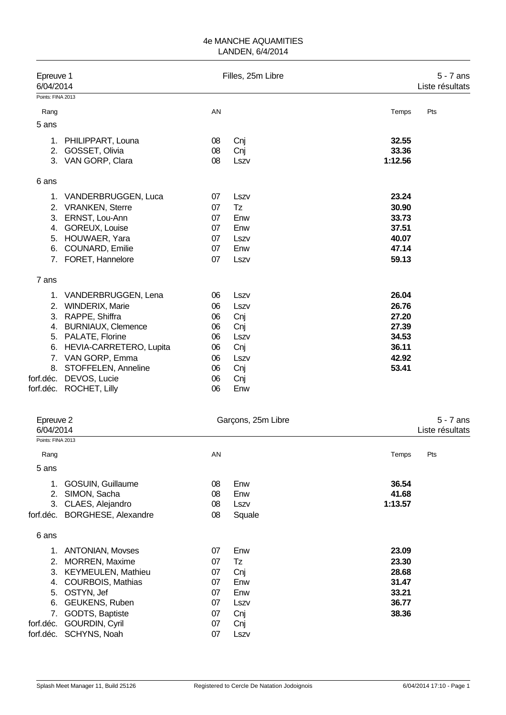| Epreuve 1<br>6/04/2014 |                           |    | Filles, 25m Libre |         |     |  |
|------------------------|---------------------------|----|-------------------|---------|-----|--|
| Points: FINA 2013      |                           |    |                   |         |     |  |
| Rang                   |                           | AN |                   | Temps   | Pts |  |
| 5 ans                  |                           |    |                   |         |     |  |
| 1.                     | PHILIPPART, Louna         | 08 | Cnj               | 32.55   |     |  |
| 2.                     | GOSSET, Olivia            | 08 | Cnj               | 33.36   |     |  |
|                        | 3. VAN GORP, Clara        | 08 | Lszv              | 1:12.56 |     |  |
| 6 ans                  |                           |    |                   |         |     |  |
|                        | 1. VANDERBRUGGEN, Luca    | 07 | Lszv              | 23.24   |     |  |
| 2.                     | <b>VRANKEN, Sterre</b>    | 07 | Tz                | 30.90   |     |  |
| 3.                     | ERNST, Lou-Ann            | 07 | Enw               | 33.73   |     |  |
| 4.                     | GOREUX, Louise            | 07 | Enw               | 37.51   |     |  |
| 5.                     | HOUWAER, Yara             | 07 | Lszv              | 40.07   |     |  |
| 6.                     | COUNARD, Emilie           | 07 | Enw               | 47.14   |     |  |
| 7.                     | FORET, Hannelore          | 07 | Lszv              | 59.13   |     |  |
| 7 ans                  |                           |    |                   |         |     |  |
| 1.                     | VANDERBRUGGEN, Lena       | 06 | Lszv              | 26.04   |     |  |
|                        | 2. WINDERIX, Marie        | 06 | Lszv              | 26.76   |     |  |
| 3.                     | RAPPE, Shiffra            | 06 | Cnj               | 27.20   |     |  |
| 4.                     | <b>BURNIAUX, Clemence</b> | 06 | Cnj               | 27.39   |     |  |
| 5.                     | PALATE, Florine           | 06 | Lszv              | 34.53   |     |  |
| 6.                     | HEVIA-CARRETERO, Lupita   | 06 | Cnj               | 36.11   |     |  |
| 7 <sub>1</sub>         | VAN GORP, Emma            | 06 | Lszv              | 42.92   |     |  |
| 8.                     | STOFFELEN, Anneline       | 06 | Cnj               | 53.41   |     |  |
| forf.déc.              | DEVOS, Lucie              | 06 | Cnj               |         |     |  |
|                        | forf.déc. ROCHET, Lilly   | 06 | Enw               |         |     |  |

| Epreuve 2<br>6/04/2014 |                               |    | Garçons, 25m Libre |         |     |  |  |
|------------------------|-------------------------------|----|--------------------|---------|-----|--|--|
| Points: FINA 2013      |                               |    |                    |         |     |  |  |
| Rang                   |                               | AN |                    | Temps   | Pts |  |  |
| 5 ans                  |                               |    |                    |         |     |  |  |
| 1.                     | GOSUIN, Guillaume             | 08 | Enw                | 36.54   |     |  |  |
| 2.                     | SIMON, Sacha                  | 08 | Enw                | 41.68   |     |  |  |
| 3.                     | CLAES, Alejandro              | 08 | Lszv               | 1:13.57 |     |  |  |
|                        | forf.déc. BORGHESE, Alexandre | 08 | Squale             |         |     |  |  |
| 6 ans                  |                               |    |                    |         |     |  |  |
| 1.                     | <b>ANTONIAN, Movses</b>       | 07 | Enw                | 23.09   |     |  |  |
| 2.                     | <b>MORREN, Maxime</b>         | 07 | Tz                 | 23.30   |     |  |  |
| 3.                     | <b>KEYMEULEN, Mathieu</b>     | 07 | Cnj                | 28.68   |     |  |  |
| 4.                     | COURBOIS, Mathias             | 07 | Enw                | 31.47   |     |  |  |
| 5.                     | OSTYN, Jef                    | 07 | Enw                | 33.21   |     |  |  |
| 6.                     | GEUKENS, Ruben                | 07 | Lszv               | 36.77   |     |  |  |
| 7.                     | GODTS, Baptiste               | 07 | Cnj                | 38.36   |     |  |  |
| forf.déc.              | GOURDIN, Cyril                | 07 | Cnj                |         |     |  |  |
|                        | forf.déc. SCHYNS, Noah        | 07 | Lszv               |         |     |  |  |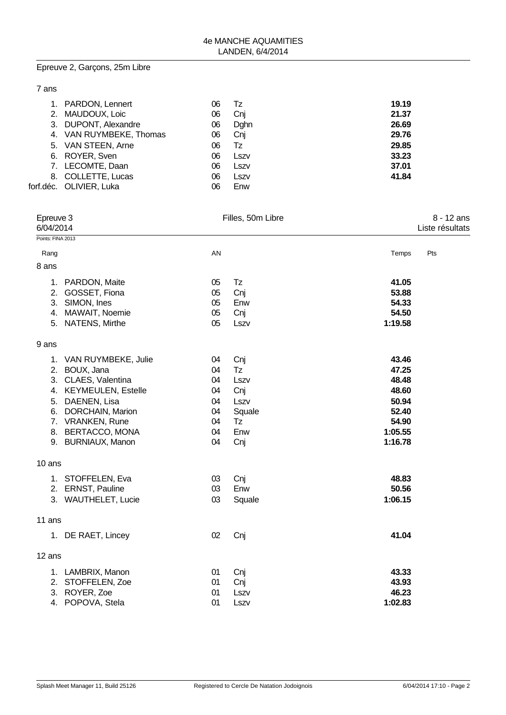# Epreuve 2, Garçons, 25m Libre

### 7 ans

|    | 1. PARDON, Lennert      | 06 | Tz   | 19.19 |
|----|-------------------------|----|------|-------|
|    | 2. MAUDOUX, Loic        | 06 | Cnj  | 21.37 |
|    | 3. DUPONT, Alexandre    | 06 | Dghn | 26.69 |
|    | 4. VAN RUYMBEKE, Thomas | 06 | Cnj  | 29.76 |
|    | 5. VAN STEEN, Arne      | 06 | Tz   | 29.85 |
|    | 6. ROYER, Sven          | 06 | Lszv | 33.23 |
|    | 7. LECOMTE, Daan        | 06 | Lszv | 37.01 |
| 8. | <b>COLLETTE, Lucas</b>  | 06 | Lszv | 41.84 |
|    | forf.déc. OLIVIER, Luka | 06 | Enw  |       |

| Epreuve 3<br>6/04/2014 |                                                                                                                                                                                               |                                                    | Filles, 50m Libre                                              |                                                                                   | 8 - 12 ans<br>Liste résultats |
|------------------------|-----------------------------------------------------------------------------------------------------------------------------------------------------------------------------------------------|----------------------------------------------------|----------------------------------------------------------------|-----------------------------------------------------------------------------------|-------------------------------|
| Points: FINA 2013      |                                                                                                                                                                                               |                                                    |                                                                |                                                                                   |                               |
| Rang                   |                                                                                                                                                                                               | AN                                                 |                                                                | Temps                                                                             | Pts                           |
| 8 ans                  |                                                                                                                                                                                               |                                                    |                                                                |                                                                                   |                               |
| 1.                     | PARDON, Maite<br>2. GOSSET, Fiona<br>3. SIMON, Ines<br>4. MAWAIT, Noemie<br>5. NATENS, Mirthe                                                                                                 | 05<br>05<br>05<br>05<br>05                         | Tz<br>Cnj<br>Enw<br>Cnj<br>Lszv                                | 41.05<br>53.88<br>54.33<br>54.50<br>1:19.58                                       |                               |
| 9 ans                  |                                                                                                                                                                                               |                                                    |                                                                |                                                                                   |                               |
| 5.                     | 1. VAN RUYMBEKE, Julie<br>2. BOUX, Jana<br>3. CLAES, Valentina<br>4. KEYMEULEN, Estelle<br>DAENEN, Lisa<br>6. DORCHAIN, Marion<br>7. VRANKEN, Rune<br>8. BERTACCO, MONA<br>9. BURNIAUX, Manon | 04<br>04<br>04<br>04<br>04<br>04<br>04<br>04<br>04 | Cnj<br>Tz<br>Lszv<br>Cnj<br>Lszv<br>Squale<br>Tz<br>Enw<br>Cnj | 43.46<br>47.25<br>48.48<br>48.60<br>50.94<br>52.40<br>54.90<br>1:05.55<br>1:16.78 |                               |
| 10 ans                 |                                                                                                                                                                                               |                                                    |                                                                |                                                                                   |                               |
|                        | 1. STOFFELEN, Eva<br>2. ERNST, Pauline<br>3. WAUTHELET, Lucie                                                                                                                                 | 03<br>03<br>03                                     | Cnj<br>Enw<br>Squale                                           | 48.83<br>50.56<br>1:06.15                                                         |                               |
| 11 ans                 |                                                                                                                                                                                               |                                                    |                                                                |                                                                                   |                               |
| 1.                     | DE RAET, Lincey                                                                                                                                                                               | 02                                                 | Cnj                                                            | 41.04                                                                             |                               |
| 12 ans                 |                                                                                                                                                                                               |                                                    |                                                                |                                                                                   |                               |
|                        | 1. LAMBRIX, Manon<br>2. STOFFELEN, Zoe<br>3. ROYER, Zoe<br>4. POPOVA, Stela                                                                                                                   | 01<br>01<br>01<br>01                               | Cnj<br>Cnj<br>Lszv<br>Lszv                                     | 43.33<br>43.93<br>46.23<br>1:02.83                                                |                               |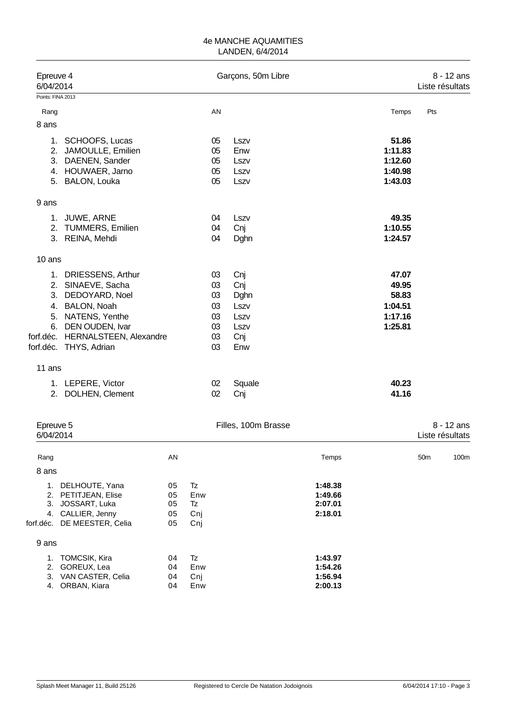| Epreuve 4<br>6/04/2014 |                                                                                                                                                                                        |          |                  |                                              | Garçons, 50m Libre                                       |                      |                                                          | Liste résultats | 8 - 12 ans |
|------------------------|----------------------------------------------------------------------------------------------------------------------------------------------------------------------------------------|----------|------------------|----------------------------------------------|----------------------------------------------------------|----------------------|----------------------------------------------------------|-----------------|------------|
| Points: FINA 2013      |                                                                                                                                                                                        |          |                  |                                              |                                                          |                      |                                                          |                 |            |
| Rang                   |                                                                                                                                                                                        |          |                  | AN                                           |                                                          |                      | Temps                                                    | Pts             |            |
| 8 ans                  |                                                                                                                                                                                        |          |                  |                                              |                                                          |                      |                                                          |                 |            |
|                        | 1. SCHOOFS, Lucas<br>2. JAMOULLE, Emilien<br>3. DAENEN, Sander<br>4. HOUWAER, Jarno<br>5. BALON, Louka                                                                                 |          |                  | 05<br>05<br>05<br>05<br>05                   | Lszv<br>Enw<br>Lszv<br>Lszv<br>Lszv                      |                      | 51.86<br>1:11.83<br>1:12.60<br>1:40.98<br>1:43.03        |                 |            |
| 9 ans                  |                                                                                                                                                                                        |          |                  |                                              |                                                          |                      |                                                          |                 |            |
| 1.                     | JUWE, ARNE<br>2. TUMMERS, Emilien<br>3. REINA, Mehdi                                                                                                                                   |          |                  | 04<br>04<br>04                               | Lszv<br>Cnj<br>Dghn                                      |                      | 49.35<br>1:10.55<br>1:24.57                              |                 |            |
| 10 ans                 |                                                                                                                                                                                        |          |                  |                                              |                                                          |                      |                                                          |                 |            |
| 6.                     | 1. DRIESSENS, Arthur<br>2. SINAEVE, Sacha<br>3. DEDOYARD, Noel<br>4. BALON, Noah<br>5. NATENS, Yenthe<br>DEN OUDEN, Ivar<br>forf.déc. HERNALSTEEN, Alexandre<br>forf.déc. THYS, Adrian |          |                  | 03<br>03<br>03<br>03<br>03<br>03<br>03<br>03 | Cnj<br>Cnj<br>Dghn<br>Lszv<br>Lszv<br>Lszv<br>Cnj<br>Enw |                      | 47.07<br>49.95<br>58.83<br>1:04.51<br>1:17.16<br>1:25.81 |                 |            |
| 11 ans                 |                                                                                                                                                                                        |          |                  |                                              |                                                          |                      |                                                          |                 |            |
|                        | 1. LEPERE, Victor<br>2. DOLHEN, Clement                                                                                                                                                |          |                  | 02<br>02                                     | Squale<br>Cnj                                            |                      | 40.23<br>41.16                                           |                 |            |
| Epreuve 5<br>6/04/2014 |                                                                                                                                                                                        |          |                  |                                              | Filles, 100m Brasse                                      |                      |                                                          | Liste résultats | 8 - 12 ans |
| Rang                   |                                                                                                                                                                                        | AN       |                  |                                              |                                                          | Temps                |                                                          | 50 <sub>m</sub> | 100m       |
| 8 ans                  |                                                                                                                                                                                        |          |                  |                                              |                                                          |                      |                                                          |                 |            |
| $\mathcal{P}$          | 1. DELHOUTE, Yana<br><b>PETIT IFAN Flise</b>                                                                                                                                           | 05<br>በ5 | Tz<br><b>Enw</b> |                                              |                                                          | 1:48.38<br>$1.49$ 66 |                                                          |                 |            |

2. PETITJEAN, Elise 05 Enw **1:49.66** 3. JOSSART, Luka 05 Tz **2:07.01** 4. CALLIER, Jenny 05 Cnj **2:18.01**<br> **Example:** DE MEESTER, Celia 05 Cnj forf.déc. DE MEESTER, Celia 05 Cnj 9 ans 1. TOMCSIK, Kira 04 Tz **1:43.97** 2. GOREUX, Lea 04 Enw **1:54.26** 3. VAN CASTER, Celia 04 Cnj **1:56.94** 4. ORBAN, Kiara 04 Enw **2:00.13**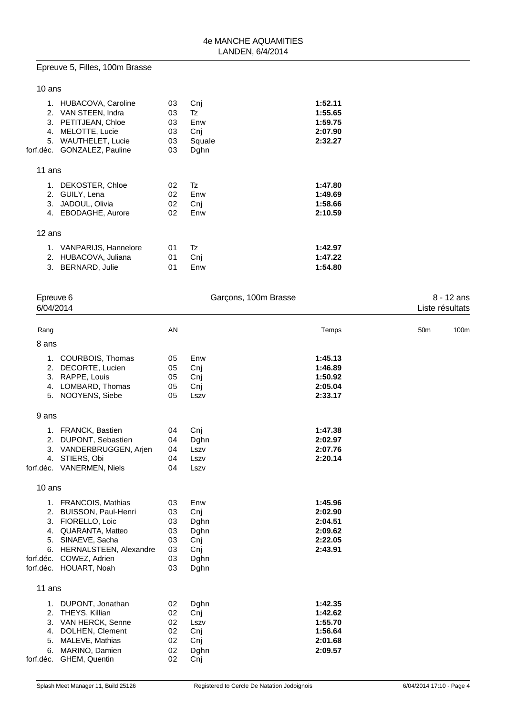# Epreuve 5, Filles, 100m Brasse

### 10 ans

| 1.        | HUBACOVA, Caroline      | 03 | Cni    | 1:52.11 |
|-----------|-------------------------|----|--------|---------|
| 2.        | VAN STEEN, Indra        | 03 | Tz     | 1:55.65 |
| 3.        | PETITJEAN, Chloe        | 03 | Enw    | 1:59.75 |
| 4.        | MELOTTE, Lucie          | 03 | Cni    | 2:07.90 |
| 5.        | <b>WAUTHELET, Lucie</b> | 03 | Squale | 2:32.27 |
| forf.déc. | GONZALEZ, Pauline       | 03 | Dghn   |         |
|           |                         |    |        |         |
| 11 ans    |                         |    |        |         |
| 1.        | DEKOSTER, Chloe         | 02 | Tz     | 1:47.80 |
| 2.        | GUILY, Lena             | 02 | Enw    | 1:49.69 |
| 3.        | JADOUL, Olivia          | 02 | Cni    | 1:58.66 |
| 4.        | EBODAGHE, Aurore        | 02 | Enw    | 2:10.59 |
|           |                         |    |        |         |
| 12 ans    |                         |    |        |         |
| 1.        | VANPARIJS, Hannelore    | 01 | Tz     | 1:42.97 |
| 2.        | HUBACOVA, Juliana       | 01 | Cnj    | 1:47.22 |
| 3.        | <b>BERNARD, Julie</b>   | 01 | Enw    | 1:54.80 |
|           |                         |    |        |         |

|           | Epreuve 6<br>6/04/2014    |    | Garçons, 100m Brasse |         |                 | 8 - 12 ans<br>Liste résultats |
|-----------|---------------------------|----|----------------------|---------|-----------------|-------------------------------|
| Rang      |                           | AN |                      | Temps   | 50 <sub>m</sub> | 100m                          |
| 8 ans     |                           |    |                      |         |                 |                               |
|           | 1. COURBOIS, Thomas       | 05 | Enw                  | 1:45.13 |                 |                               |
|           | 2. DECORTE, Lucien        | 05 | Cnj                  | 1:46.89 |                 |                               |
|           | 3. RAPPE, Louis           | 05 | Cnj                  | 1:50.92 |                 |                               |
|           | 4. LOMBARD, Thomas        | 05 | Cnj                  | 2:05.04 |                 |                               |
|           | 5. NOOYENS, Siebe         | 05 | Lszv                 | 2:33.17 |                 |                               |
| 9 ans     |                           |    |                      |         |                 |                               |
|           | 1. FRANCK, Bastien        | 04 | Cnj                  | 1:47.38 |                 |                               |
|           | 2. DUPONT, Sebastien      | 04 | Dghn                 | 2:02.97 |                 |                               |
|           | 3. VANDERBRUGGEN, Arjen   | 04 | Lszv                 | 2:07.76 |                 |                               |
|           | 4. STIERS, Obi            | 04 | Lszv                 | 2:20.14 |                 |                               |
|           | forf.déc. VANERMEN, Niels | 04 | Lszv                 |         |                 |                               |
| 10 ans    |                           |    |                      |         |                 |                               |
|           | 1. FRANCOIS, Mathias      | 03 | Enw                  | 1:45.96 |                 |                               |
|           | 2. BUISSON, Paul-Henri    | 03 | Cnj                  | 2:02.90 |                 |                               |
|           | 3. FIORELLO, Loic         | 03 | Dghn                 | 2:04.51 |                 |                               |
|           | 4. QUARANTA, Matteo       | 03 | Dghn                 | 2:09.62 |                 |                               |
|           | 5. SINAEVE, Sacha         | 03 | Cnj                  | 2:22.05 |                 |                               |
|           | 6. HERNALSTEEN, Alexandre | 03 | Cnj                  | 2:43.91 |                 |                               |
|           | forf.déc. COWEZ, Adrien   | 03 | Dghn                 |         |                 |                               |
|           | forf.déc. HOUART, Noah    | 03 | Dghn                 |         |                 |                               |
| 11 ans    |                           |    |                      |         |                 |                               |
|           | 1. DUPONT, Jonathan       | 02 | Dghn                 | 1:42.35 |                 |                               |
|           | 2. THEYS, Killian         | 02 | Cnj                  | 1:42.62 |                 |                               |
|           | 3. VAN HERCK, Senne       | 02 | Lszv                 | 1:55.70 |                 |                               |
|           | 4. DOLHEN, Clement        | 02 | Cnj                  | 1:56.64 |                 |                               |
| 5.        | MALEVE, Mathias           | 02 | Cnj                  | 2:01.68 |                 |                               |
| 6.        | MARINO, Damien            | 02 | Dghn                 | 2:09.57 |                 |                               |
| forf.déc. | GHEM, Quentin             | 02 | Cnj                  |         |                 |                               |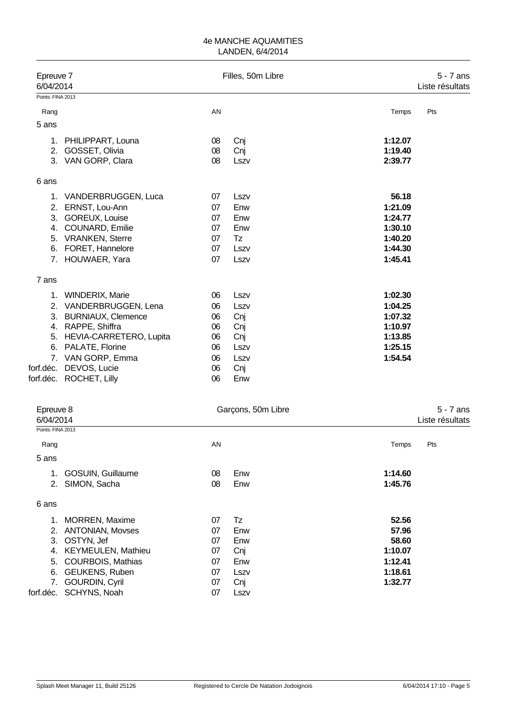| Epreuve 7<br>6/04/2014 |                           |    | Filles, 50m Libre |         | $5 - 7$ ans<br>Liste résultats |
|------------------------|---------------------------|----|-------------------|---------|--------------------------------|
| Points: FINA 2013      |                           |    |                   |         |                                |
| Rang                   |                           | AN |                   | Temps   | Pts                            |
| 5 ans                  |                           |    |                   |         |                                |
| 1.                     | PHILIPPART, Louna         | 08 | Cnj               | 1:12.07 |                                |
| 2.                     | GOSSET, Olivia            | 08 | Cnj               | 1:19.40 |                                |
| 3.                     | VAN GORP, Clara           | 08 | Lszv              | 2:39.77 |                                |
| 6 ans                  |                           |    |                   |         |                                |
|                        | 1. VANDERBRUGGEN, Luca    | 07 | Lszv              | 56.18   |                                |
| 2.                     | ERNST, Lou-Ann            | 07 | Enw               | 1:21.09 |                                |
| 3.                     | GOREUX, Louise            | 07 | Enw               | 1:24.77 |                                |
| 4.                     | COUNARD, Emilie           | 07 | Enw               | 1:30.10 |                                |
| 5.                     | <b>VRANKEN, Sterre</b>    | 07 | Tz                | 1:40.20 |                                |
| 6.                     | FORET, Hannelore          | 07 | Lszv              | 1:44.30 |                                |
| 7.                     | HOUWAER, Yara             | 07 | Lszv              | 1:45.41 |                                |
| 7 ans                  |                           |    |                   |         |                                |
|                        | 1. WINDERIX, Marie        | 06 | Lszv              | 1:02.30 |                                |
| 2.                     | VANDERBRUGGEN, Lena       | 06 | Lszv              | 1:04.25 |                                |
| 3.                     | <b>BURNIAUX, Clemence</b> | 06 | Cnj               | 1:07.32 |                                |
| 4.                     | RAPPE, Shiffra            | 06 | Cnj               | 1:10.97 |                                |
| 5.                     | HEVIA-CARRETERO, Lupita   | 06 | Cnj               | 1:13.85 |                                |
| 6.                     | PALATE, Florine           | 06 | Lszv              | 1:25.15 |                                |
|                        | 7. VAN GORP, Emma         | 06 | Lszv              | 1:54.54 |                                |
| forf.déc.              | DEVOS, Lucie              | 06 | Cnj               |         |                                |
|                        | forf.déc. ROCHET, Lilly   | 06 | Enw               |         |                                |

| Epreuve 8<br>6/04/2014    |                                     | Garçons, 50m Libre |         |     |  |  |
|---------------------------|-------------------------------------|--------------------|---------|-----|--|--|
| Points: FINA 2013         |                                     |                    |         |     |  |  |
|                           | AN                                  |                    | Temps   | Pts |  |  |
|                           |                                     |                    |         |     |  |  |
| <b>GOSUIN, Guillaume</b>  | 08                                  | Enw                | 1:14.60 |     |  |  |
| SIMON, Sacha<br>2.        | 08                                  | Enw                | 1:45.76 |     |  |  |
|                           |                                     |                    |         |     |  |  |
| <b>MORREN, Maxime</b>     | 07                                  | Tz                 | 52.56   |     |  |  |
| <b>ANTONIAN, Movses</b>   | 07                                  | Enw                | 57.96   |     |  |  |
| OSTYN, Jef                | 07                                  | Enw                | 58.60   |     |  |  |
| <b>KEYMEULEN, Mathieu</b> | 07                                  | Cnj                | 1:10.07 |     |  |  |
|                           | 07                                  | Enw                | 1:12.41 |     |  |  |
| <b>GEUKENS, Ruben</b>     | 07                                  | Lszv               | 1:18.61 |     |  |  |
|                           | 07                                  |                    | 1:32.77 |     |  |  |
| SCHYNS, Noah              | 07                                  | Lszv               |         |     |  |  |
|                           | COURBOIS, Mathias<br>GOURDIN, Cyril |                    | Cnj     |     |  |  |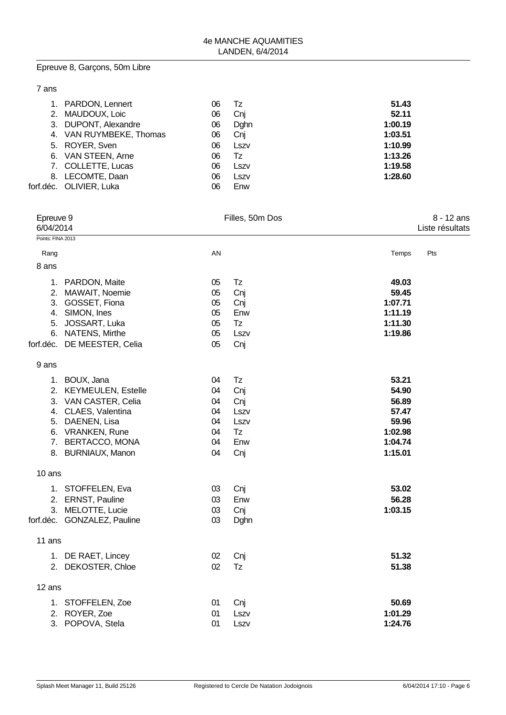# Epreuve 8, Garçons, 50m Libre

|  | ×<br>×<br>٧ |
|--|-------------|
|--|-------------|

| 1. PARDON, Lennert      | 06 | Tz   | 51.43   |
|-------------------------|----|------|---------|
| 2. MAUDOUX, Loic        | 06 | Cnj  | 52.11   |
| 3. DUPONT, Alexandre    | 06 | Dghn | 1:00.19 |
| 4. VAN RUYMBEKE, Thomas | 06 | Cnj  | 1:03.51 |
| 5. ROYER, Sven          | 06 | Lszv | 1:10.99 |
| 6. VAN STEEN, Arne      | 06 | Tz   | 1:13.26 |
| 7. COLLETTE, Lucas      | 06 | Lszv | 1:19.58 |
| 8. LECOMTE, Daan        | 06 | Lszv | 1:28.60 |
| forf.déc. OLIVIER, Luka | 06 | Enw  |         |

| Epreuve 9<br>6/04/2014 |                                                                                                                                                                         |                                              | Filles, 50m Dos                                      |                                                                            | 8 - 12 ans<br>Liste résultats |  |
|------------------------|-------------------------------------------------------------------------------------------------------------------------------------------------------------------------|----------------------------------------------|------------------------------------------------------|----------------------------------------------------------------------------|-------------------------------|--|
| Points: FINA 2013      |                                                                                                                                                                         |                                              |                                                      |                                                                            |                               |  |
| Rang                   |                                                                                                                                                                         | AN                                           |                                                      | Temps                                                                      | Pts                           |  |
| 8 ans                  |                                                                                                                                                                         |                                              |                                                      |                                                                            |                               |  |
| 5.                     | 1. PARDON, Maite<br>2. MAWAIT, Noemie<br>3. GOSSET, Fiona<br>4. SIMON, Ines<br>JOSSART, Luka<br>6. NATENS, Mirthe<br>forf.déc. DE MEESTER, Celia                        | 05<br>05<br>05<br>05<br>05<br>05<br>05       | Tz<br>Cnj<br>Cnj<br>Enw<br>Tz<br>Lszv<br>Cnj         | 49.03<br>59.45<br>1:07.71<br>1:11.19<br>1:11.30<br>1:19.86                 |                               |  |
| 9 ans                  |                                                                                                                                                                         |                                              |                                                      |                                                                            |                               |  |
|                        | 1. BOUX, Jana<br>2. KEYMEULEN, Estelle<br>3. VAN CASTER, Celia<br>4. CLAES, Valentina<br>5. DAENEN, Lisa<br>6. VRANKEN, Rune<br>7. BERTACCO, MONA<br>8. BURNIAUX, Manon | 04<br>04<br>04<br>04<br>04<br>04<br>04<br>04 | Tz<br>Cnj<br>Cnj<br>Lszv<br>Lszv<br>Tz<br>Enw<br>Cnj | 53.21<br>54.90<br>56.89<br>57.47<br>59.96<br>1:02.98<br>1:04.74<br>1:15.01 |                               |  |
| 10 ans                 |                                                                                                                                                                         |                                              |                                                      |                                                                            |                               |  |
|                        | 1. STOFFELEN, Eva<br>2. ERNST, Pauline<br>3. MELOTTE, Lucie<br>forf.déc. GONZALEZ, Pauline                                                                              | 03<br>03<br>03<br>03                         | Cnj<br>Enw<br>Cnj<br>Dghn                            | 53.02<br>56.28<br>1:03.15                                                  |                               |  |
| 11 ans                 |                                                                                                                                                                         |                                              |                                                      |                                                                            |                               |  |
|                        | 1. DE RAET, Lincey<br>2. DEKOSTER, Chloe                                                                                                                                | 02<br>02                                     | Cnj<br>Tz                                            | 51.32<br>51.38                                                             |                               |  |
| 12 ans                 |                                                                                                                                                                         |                                              |                                                      |                                                                            |                               |  |
|                        | 1. STOFFELEN, Zoe<br>2. ROYER, Zoe<br>3. POPOVA, Stela                                                                                                                  | 01<br>01<br>01                               | Cnj<br>Lszv<br>Lszv                                  | 50.69<br>1:01.29<br>1:24.76                                                |                               |  |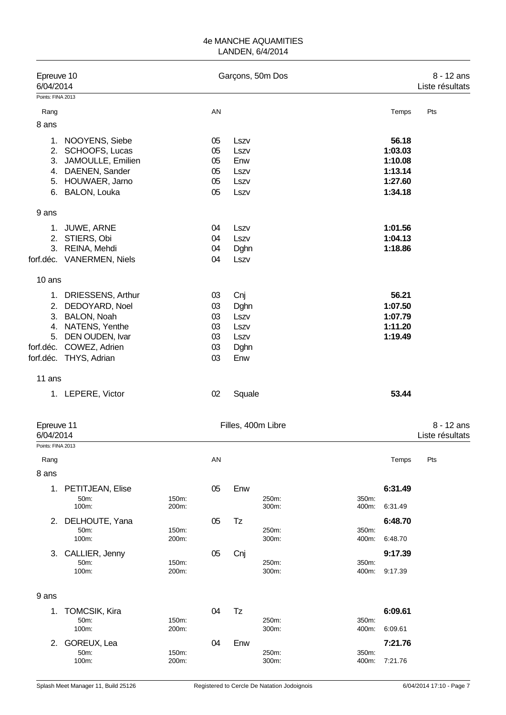| Epreuve 10<br>6/04/2014<br>Points: FINA 2013 |                                                   |                |          | Garçons, 50m Dos |                    | 8 - 12 ans<br>Liste résultats |         |                 |
|----------------------------------------------|---------------------------------------------------|----------------|----------|------------------|--------------------|-------------------------------|---------|-----------------|
|                                              |                                                   |                |          |                  |                    |                               |         |                 |
| Rang                                         |                                                   |                | AN       |                  |                    |                               | Temps   | Pts             |
| 8 ans                                        |                                                   |                |          |                  |                    |                               |         |                 |
| 1.                                           | NOOYENS, Siebe                                    |                | 05       | Lszv             |                    |                               | 56.18   |                 |
|                                              | 2. SCHOOFS, Lucas                                 |                | 05       | Lszv             |                    |                               | 1:03.03 |                 |
| 3.                                           | JAMOULLE, Emilien                                 |                | 05       | Enw              |                    |                               | 1:10.08 |                 |
|                                              | 4. DAENEN, Sander                                 |                | 05       | Lszv             |                    |                               | 1:13.14 |                 |
|                                              | 5. HOUWAER, Jarno                                 |                | 05       | Lszv             |                    |                               | 1:27.60 |                 |
|                                              | 6. BALON, Louka                                   |                | 05       | Lszv             |                    |                               | 1:34.18 |                 |
| 9 ans                                        |                                                   |                |          |                  |                    |                               |         |                 |
|                                              | 1. JUWE, ARNE                                     |                | 04       | Lszv             |                    |                               | 1:01.56 |                 |
|                                              | 2. STIERS, Obi                                    |                | 04       | Lszv             |                    |                               | 1:04.13 |                 |
|                                              | 3. REINA, Mehdi                                   |                | 04       | Dghn             |                    |                               | 1:18.86 |                 |
|                                              | forf.déc. VANERMEN, Niels                         |                | 04       | Lszv             |                    |                               |         |                 |
| 10 ans                                       |                                                   |                |          |                  |                    |                               |         |                 |
|                                              | 1. DRIESSENS, Arthur                              |                | 03       | Cnj              |                    |                               | 56.21   |                 |
|                                              | 2. DEDOYARD, Noel                                 |                | 03       | Dghn             |                    |                               | 1:07.50 |                 |
|                                              | 3. BALON, Noah                                    |                | 03       | Lszv             |                    |                               | 1:07.79 |                 |
|                                              | 4. NATENS, Yenthe                                 |                | 03       | Lszv             |                    |                               | 1:11.20 |                 |
| 5.                                           | DEN OUDEN, Ivar                                   |                | 03       | Lszv             |                    |                               | 1:19.49 |                 |
|                                              | forf.déc. COWEZ, Adrien<br>forf.déc. THYS, Adrian |                | 03<br>03 | Dghn<br>Enw      |                    |                               |         |                 |
|                                              |                                                   |                |          |                  |                    |                               |         |                 |
| 11 ans                                       |                                                   |                |          |                  |                    |                               |         |                 |
|                                              | 1. LEPERE, Victor                                 |                | 02       | Squale           |                    |                               | 53.44   |                 |
| Epreuve 11                                   |                                                   |                |          |                  | Filles, 400m Libre |                               |         | $8 - 12$ ans    |
| 6/04/2014                                    |                                                   |                |          |                  |                    |                               |         | Liste résultats |
| Points: FINA 2013                            |                                                   |                |          |                  |                    |                               |         |                 |
| Rang                                         |                                                   |                | AN       |                  |                    |                               | Temps   | Pts             |
| 8 ans                                        |                                                   |                |          |                  |                    |                               |         |                 |
|                                              | 1. PETITJEAN, Elise                               |                | 05       | Enw              |                    |                               | 6:31.49 |                 |
|                                              | 50m:<br>100m:                                     | 150m:<br>200m: |          |                  | 250m:<br>300m:     | 350m:<br>400m:                | 6:31.49 |                 |
|                                              | 2. DELHOUTE, Yana                                 |                | 05       | Tz               |                    |                               | 6:48.70 |                 |
|                                              | 50m:                                              | 150m:          |          |                  | 250m:              | 350m:                         |         |                 |
|                                              | 100m:                                             | 200m:          |          |                  | 300m:              | 400m:                         | 6:48.70 |                 |
| 3.                                           | CALLIER, Jenny<br>50m:                            | 150m:          | 05       | Cnj              | 250m:              | 350m:                         | 9:17.39 |                 |
|                                              | 100m:                                             | 200m:          |          |                  | 300m:              | 400m:                         | 9:17.39 |                 |
| 9 ans                                        |                                                   |                |          |                  |                    |                               |         |                 |
|                                              |                                                   |                |          |                  |                    |                               |         |                 |
| 1.                                           | <b>TOMCSIK, Kira</b><br>50m:                      | 150m:          | 04       | Tz               | 250m:              | 350m:                         | 6:09.61 |                 |
|                                              | 100m:                                             | 200m:          |          |                  | 300m:              | 400m:                         | 6:09.61 |                 |
|                                              | 2. GOREUX, Lea                                    |                | 04       | Enw              |                    |                               | 7:21.76 |                 |
|                                              | 50m:                                              | 150m:          |          |                  | 250m:              | 350m:                         |         |                 |
|                                              | 100m:                                             | 200m:          |          |                  | 300m:              | 400m:                         | 7:21.76 |                 |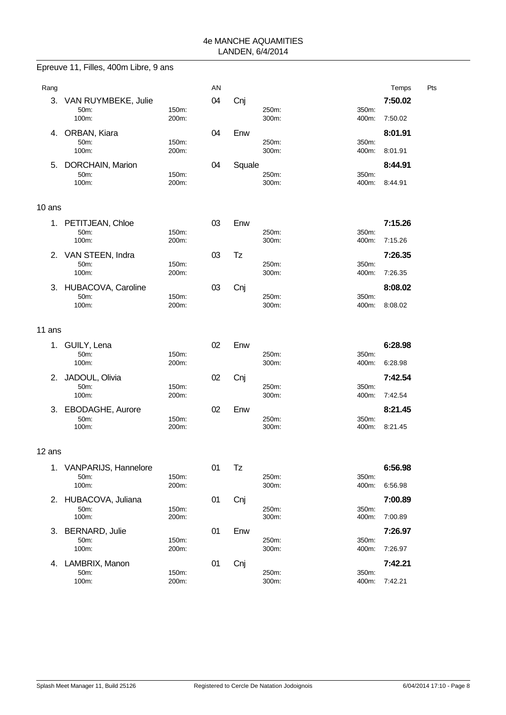|        | Epreuve 11, Filles, 400m Libre, 9 ans |                |    |        |                |                |                    |     |
|--------|---------------------------------------|----------------|----|--------|----------------|----------------|--------------------|-----|
| Rang   |                                       |                | AN |        |                |                | Temps              | Pts |
| 3.     | VAN RUYMBEKE, Julie<br>50m:<br>100m:  | 150m:<br>200m: | 04 | Cnj    | 250m:<br>300m: | 350m:          | 7:50.02<br>7:50.02 |     |
|        |                                       |                |    |        |                | 400m:          |                    |     |
| 4.     | ORBAN, Kiara<br>50m:<br>100m:         | 150m:<br>200m: | 04 | Enw    | 250m:<br>300m: | 350m:<br>400m: | 8:01.91<br>8:01.91 |     |
| 5.     | DORCHAIN, Marion                      |                | 04 | Squale |                |                | 8:44.91            |     |
|        | 50m:<br>100m:                         | 150m:<br>200m: |    |        | 250m:<br>300m: | 350m:<br>400m: | 8:44.91            |     |
| 10 ans |                                       |                |    |        |                |                |                    |     |
| 1.     | PETITJEAN, Chloe                      |                | 03 | Enw    |                |                | 7:15.26            |     |
|        | 50m:<br>100m:                         | 150m:<br>200m: |    |        | 250m:<br>300m: | 350m:<br>400m: | 7:15.26            |     |
|        | 2. VAN STEEN, Indra                   |                | 03 | Tz     |                |                | 7:26.35            |     |
|        | 50m:<br>100m:                         | 150m:<br>200m: |    |        | 250m:<br>300m: | 350m:<br>400m: | 7:26.35            |     |
|        | 3. HUBACOVA, Caroline                 |                | 03 | Cnj    |                |                | 8:08.02            |     |
|        | 50m:<br>100m:                         | 150m:<br>200m: |    |        | 250m:<br>300m: | 350m:<br>400m: | 8:08.02            |     |
| 11 ans |                                       |                |    |        |                |                |                    |     |
| 1.     | GUILY, Lena                           |                | 02 | Enw    |                |                | 6:28.98            |     |
|        | 50m:<br>100m:                         | 150m:<br>200m: |    |        | 250m:<br>300m: | 350m:<br>400m: | 6:28.98            |     |
| 2.     | JADOUL, Olivia                        |                | 02 | Cnj    |                |                | 7:42.54            |     |
|        | 50m:<br>100m:                         | 150m:<br>200m: |    |        | 250m:<br>300m: | 350m:<br>400m: | 7:42.54            |     |
| 3.     | EBODAGHE, Aurore                      |                | 02 | Enw    |                |                | 8:21.45            |     |
|        | 50m:<br>100m:                         | 150m:<br>200m: |    |        | 250m:<br>300m: | 350m:<br>400m: | 8:21.45            |     |
| 12 ans |                                       |                |    |        |                |                |                    |     |
| 1.     | VANPARIJS, Hannelore                  |                | 01 | Tz     |                |                | 6:56.98            |     |
|        | 50m:<br>100m:                         | 150m:<br>200m: |    |        | 250m:<br>300m: | 350m:<br>400m: | 6:56.98            |     |
| 2.     | HUBACOVA, Juliana                     |                | 01 | Cnj    |                |                | 7:00.89            |     |
|        | 50m:<br>100m:                         | 150m:<br>200m: |    |        | 250m:<br>300m: | 350m:<br>400m: | 7:00.89            |     |
| 3.     | <b>BERNARD, Julie</b>                 |                | 01 | Enw    |                |                | 7:26.97            |     |
|        | 50m:<br>100m:                         | 150m:<br>200m: |    |        | 250m:<br>300m: | 350m:<br>400m: | 7:26.97            |     |
| 4.     | LAMBRIX, Manon                        |                | 01 | Cnj    |                |                | 7:42.21            |     |
|        | 50m:<br>100m:                         | 150m:<br>200m: |    |        | 250m:<br>300m: | 350m:<br>400m: | 7:42.21            |     |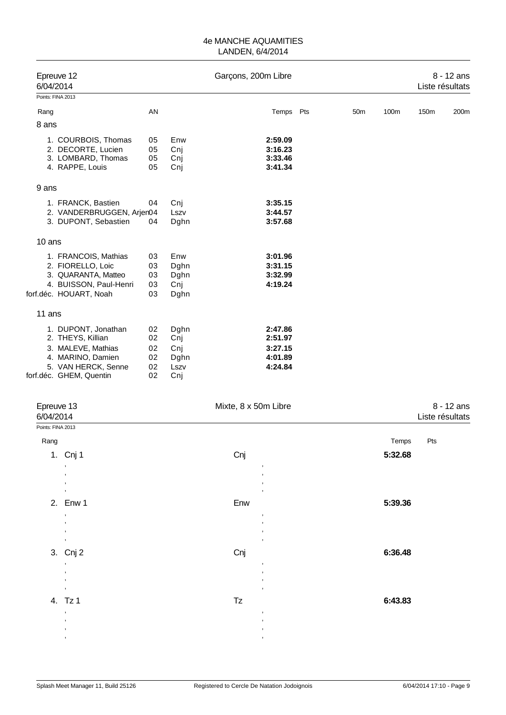| Epreuve 12<br>6/04/2014   |    | Garçons, 200m Libre |           |                 | $8 - 12$ ans<br>Liste résultats |      |      |
|---------------------------|----|---------------------|-----------|-----------------|---------------------------------|------|------|
| Points: FINA 2013         |    |                     |           |                 |                                 |      |      |
| Rang                      | AN |                     | Temps Pts | 50 <sub>m</sub> | 100m                            | 150m | 200m |
| 8 ans                     |    |                     |           |                 |                                 |      |      |
| 1. COURBOIS, Thomas       | 05 | Enw                 | 2:59.09   |                 |                                 |      |      |
| 2. DECORTE, Lucien        | 05 | Cnj                 | 3:16.23   |                 |                                 |      |      |
| 3. LOMBARD, Thomas        | 05 | Cnj                 | 3:33.46   |                 |                                 |      |      |
| 4. RAPPE, Louis           | 05 | Cnj                 | 3:41.34   |                 |                                 |      |      |
| 9 ans                     |    |                     |           |                 |                                 |      |      |
| 1. FRANCK, Bastien        | 04 | Cnj                 | 3:35.15   |                 |                                 |      |      |
| 2. VANDERBRUGGEN, Arjen04 |    | Lszv                | 3:44.57   |                 |                                 |      |      |
| 3. DUPONT, Sebastien      | 04 | Dghn                | 3:57.68   |                 |                                 |      |      |
| 10 ans                    |    |                     |           |                 |                                 |      |      |
| 1. FRANCOIS, Mathias      | 03 | Enw                 | 3:01.96   |                 |                                 |      |      |
| 2. FIORELLO, Loic         | 03 | Dghn                | 3:31.15   |                 |                                 |      |      |
| 3. QUARANTA, Matteo       | 03 | Dghn                | 3:32.99   |                 |                                 |      |      |
| 4. BUISSON, Paul-Henri    | 03 | Cnj                 | 4:19.24   |                 |                                 |      |      |
| forf.déc. HOUART, Noah    | 03 | Dghn                |           |                 |                                 |      |      |
| 11 ans                    |    |                     |           |                 |                                 |      |      |
| 1. DUPONT, Jonathan       | 02 | Dghn                | 2:47.86   |                 |                                 |      |      |
| 2. THEYS, Killian         | 02 | Cnj                 | 2:51.97   |                 |                                 |      |      |
| 3. MALEVE, Mathias        | 02 | Cni                 | 3:27.15   |                 |                                 |      |      |
| 4. MARINO, Damien         | 02 | Dghn                | 4:01.89   |                 |                                 |      |      |
| 5. VAN HERCK, Senne       | 02 | Lszv                | 4:24.84   |                 |                                 |      |      |
| forf.déc. GHEM, Quentin   | 02 | Cnj                 |           |                 |                                 |      |      |

| Epreuve 13<br>6/04/2014 |                                  | Mixte, 8 x 50m Libre | 8 - 12 ans<br>Liste résultats |  |  |
|-------------------------|----------------------------------|----------------------|-------------------------------|--|--|
| Points: FINA 2013       |                                  |                      |                               |  |  |
| Rang                    |                                  |                      | Temps<br>Pts                  |  |  |
|                         | 1. Cnj 1                         | Cnj                  | 5:32.68                       |  |  |
|                         | $\,$                             | $\,$                 |                               |  |  |
|                         | $^\mathrm{''}$<br>$^\mathrm{''}$ | $\cdot$<br>$\cdot$   |                               |  |  |
|                         | $\,$                             | $\,$                 |                               |  |  |
|                         | 2. Enw 1                         | Enw                  | 5:39.36                       |  |  |
|                         | $\,$<br>$\,$                     | $\cdot$<br>$\,$      |                               |  |  |
|                         | $^\mathrm{''}$                   | $\cdot$              |                               |  |  |
|                         | $\,$                             | $\,$                 |                               |  |  |
|                         | 3. Cnj 2                         | Cnj                  | 6:36.48                       |  |  |
|                         | $^\mathrm{''}$<br>$^\mathrm{''}$ | $\,$<br>$\cdot$      |                               |  |  |
|                         | $^\mathrm{''}$                   | $\cdot$              |                               |  |  |
|                         | $\,$                             | $\,$                 |                               |  |  |
|                         | 4. Tz 1<br>$^\mathrm{''}$        | Tz<br>$\,$           | 6:43.83                       |  |  |
|                         | $\,$                             | $\,$                 |                               |  |  |
|                         | $^\mathrm{''}$<br>$\,$           | $\,$<br>$\,$         |                               |  |  |
|                         |                                  |                      |                               |  |  |